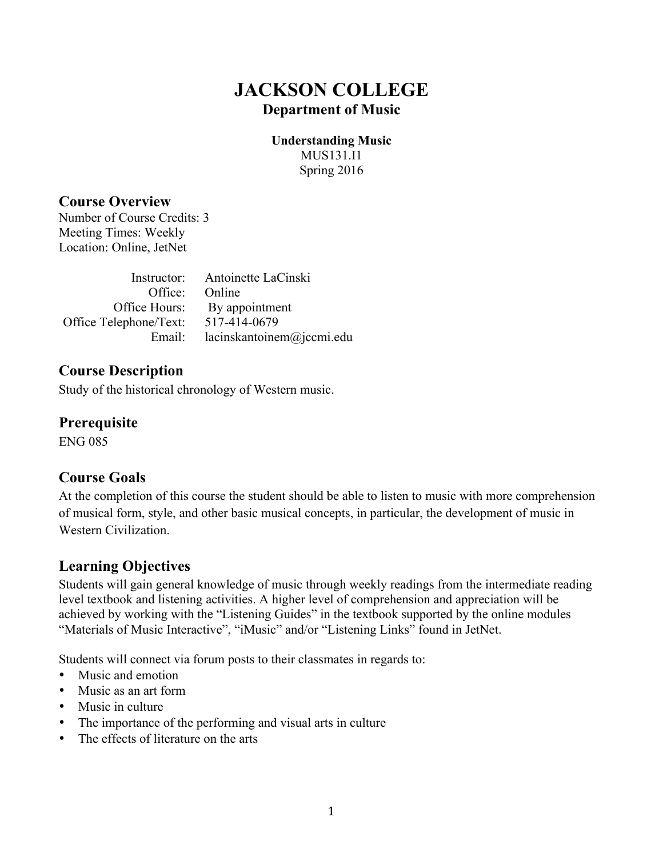# **JACKSON COLLEGE Department of Music**

**Understanding Music**  MUS131.I1 Spring 2016

### **Course Overview**

Number of Course Credits: 3 Meeting Times: Weekly Location: Online, JetNet

|                        | Instructor: Antoinette LaCinski |
|------------------------|---------------------------------|
| Office: Online         |                                 |
| Office Hours:          | By appointment                  |
| Office Telephone/Text: | 517-414-0679                    |
| Email:                 | lacinskantoinem@jccmi.edu       |

## **Course Description**

Study of the historical chronology of Western music.

**Prerequisite**

ENG 085

### **Course Goals**

At the completion of this course the student should be able to listen to music with more comprehension of musical form, style, and other basic musical concepts, in particular, the development of music in Western Civilization.

### **Learning Objectives**

Students will gain general knowledge of music through weekly readings from the intermediate reading level textbook and listening activities. A higher level of comprehension and appreciation will be achieved by working with the "Listening Guides" in the textbook supported by the online modules "Materials of Music Interactive", "iMusic" and/or "Listening Links" found in JetNet.

Students will connect via forum posts to their classmates in regards to:

- Music and emotion
- Music as an art form
- Music in culture
- The importance of the performing and visual arts in culture
- The effects of literature on the arts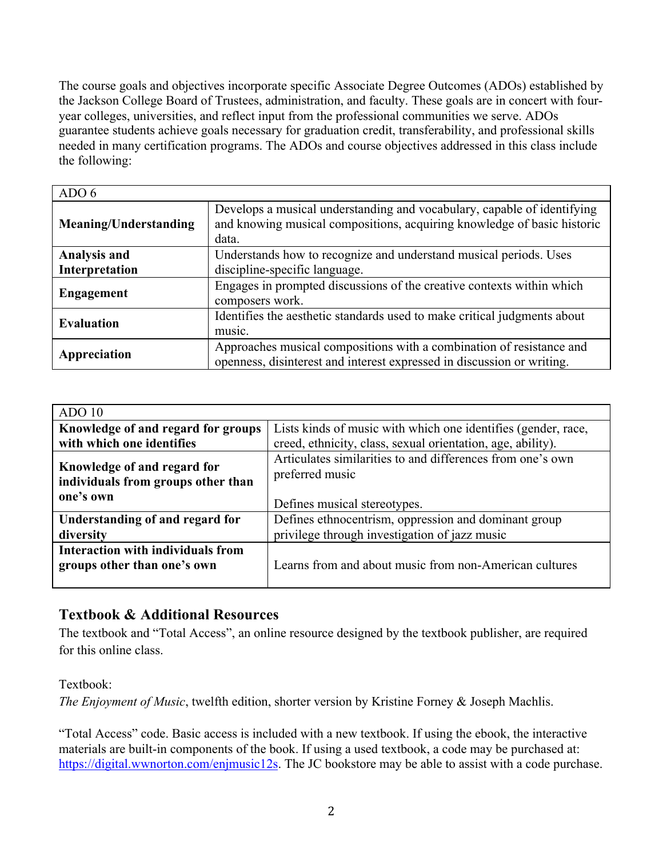The course goals and objectives incorporate specific Associate Degree Outcomes (ADOs) established by the Jackson College Board of Trustees, administration, and faculty. These goals are in concert with fouryear colleges, universities, and reflect input from the professional communities we serve. ADOs guarantee students achieve goals necessary for graduation credit, transferability, and professional skills needed in many certification programs. The ADOs and course objectives addressed in this class include the following:

| ADO 6                 |                                                                                                                                                             |
|-----------------------|-------------------------------------------------------------------------------------------------------------------------------------------------------------|
| Meaning/Understanding | Develops a musical understanding and vocabulary, capable of identifying<br>and knowing musical compositions, acquiring knowledge of basic historic<br>data. |
| <b>Analysis and</b>   | Understands how to recognize and understand musical periods. Uses                                                                                           |
| Interpretation        | discipline-specific language.                                                                                                                               |
| <b>Engagement</b>     | Engages in prompted discussions of the creative contexts within which<br>composers work.                                                                    |
| <b>Evaluation</b>     | Identifies the aesthetic standards used to make critical judgments about                                                                                    |
|                       | music.                                                                                                                                                      |
| Appreciation          | Approaches musical compositions with a combination of resistance and<br>openness, disinterest and interest expressed in discussion or writing.              |

| ADO 10                                                                         |                                                                               |
|--------------------------------------------------------------------------------|-------------------------------------------------------------------------------|
| Knowledge of and regard for groups                                             | Lists kinds of music with which one identifies (gender, race,                 |
| with which one identifies                                                      | creed, ethnicity, class, sexual orientation, age, ability).                   |
| Knowledge of and regard for<br>individuals from groups other than<br>one's own | Articulates similarities to and differences from one's own<br>preferred music |
|                                                                                | Defines musical stereotypes.                                                  |
| Understanding of and regard for                                                | Defines ethnocentrism, oppression and dominant group                          |
| diversity                                                                      | privilege through investigation of jazz music                                 |
| Interaction with individuals from<br>groups other than one's own               | Learns from and about music from non-American cultures                        |

## **Textbook & Additional Resources**

The textbook and "Total Access", an online resource designed by the textbook publisher, are required for this online class.

Textbook:

*The Enjoyment of Music*, twelfth edition, shorter version by Kristine Forney & Joseph Machlis.

"Total Access" code. Basic access is included with a new textbook. If using the ebook, the interactive materials are built-in components of the book. If using a used textbook, a code may be purchased at: https://digital.wwnorton.com/enjmusic12s. The JC bookstore may be able to assist with a code purchase.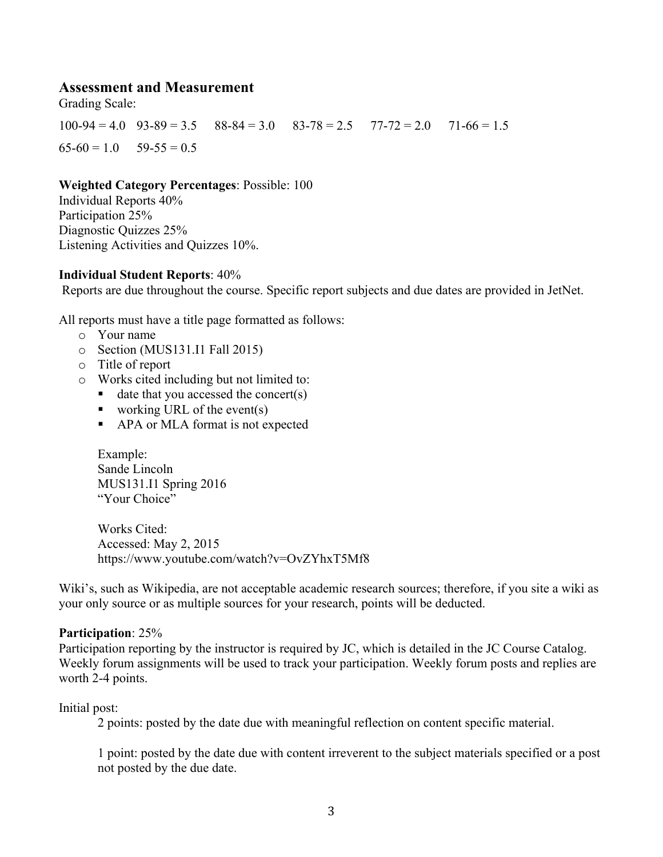#### **Assessment and Measurement**

Grading Scale:

 $100-94 = 4.0$   $93-89 = 3.5$   $88-84 = 3.0$   $83-78 = 2.5$   $77-72 = 2.0$   $71-66 = 1.5$  $65-60 = 1.0$   $59-55 = 0.5$ 

#### **Weighted Category Percentages**: Possible: 100

Individual Reports 40% Participation 25% Diagnostic Quizzes 25% Listening Activities and Quizzes 10%.

#### **Individual Student Reports**: 40%

Reports are due throughout the course. Specific report subjects and due dates are provided in JetNet.

All reports must have a title page formatted as follows:

- o Your name
- o Section (MUS131.I1 Fall 2015)
- o Title of report
- o Works cited including but not limited to:
	- $\blacksquare$  date that you accessed the concert(s)
	- vorking URL of the event(s)
	- APA or MLA format is not expected

Example: Sande Lincoln MUS131.I1 Spring 2016 "Your Choice"

Works Cited: Accessed: May 2, 2015 https://www.youtube.com/watch?v=OvZYhxT5Mf8

Wiki's, such as Wikipedia, are not acceptable academic research sources; therefore, if you site a wiki as your only source or as multiple sources for your research, points will be deducted.

#### **Participation**: 25%

Participation reporting by the instructor is required by JC, which is detailed in the JC Course Catalog. Weekly forum assignments will be used to track your participation. Weekly forum posts and replies are worth 2-4 points.

#### Initial post:

2 points: posted by the date due with meaningful reflection on content specific material.

1 point: posted by the date due with content irreverent to the subject materials specified or a post not posted by the due date.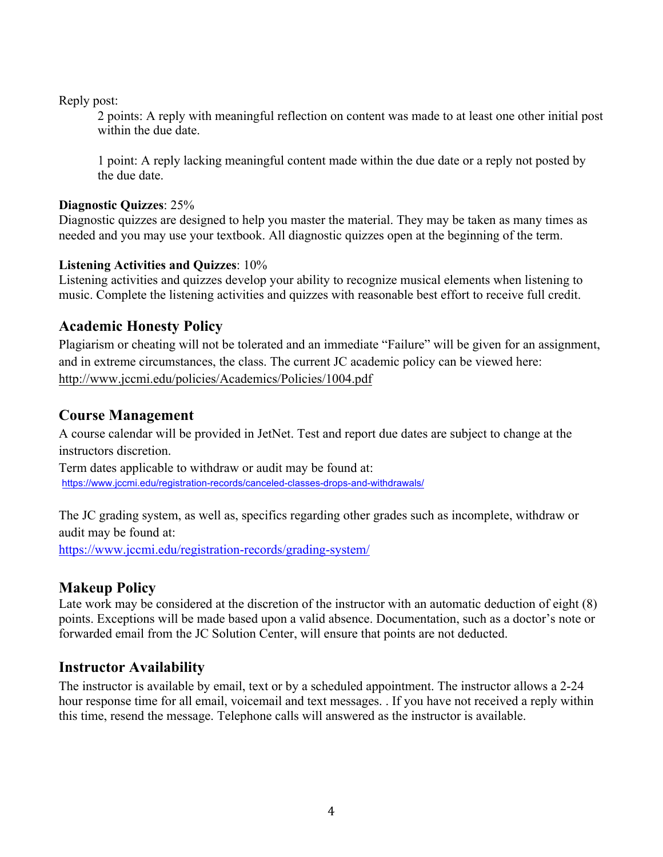Reply post:

2 points: A reply with meaningful reflection on content was made to at least one other initial post within the due date.

1 point: A reply lacking meaningful content made within the due date or a reply not posted by the due date.

#### **Diagnostic Quizzes**: 25%

Diagnostic quizzes are designed to help you master the material. They may be taken as many times as needed and you may use your textbook. All diagnostic quizzes open at the beginning of the term.

### **Listening Activities and Quizzes**: 10%

Listening activities and quizzes develop your ability to recognize musical elements when listening to music. Complete the listening activities and quizzes with reasonable best effort to receive full credit.

## **Academic Honesty Policy**

Plagiarism or cheating will not be tolerated and an immediate "Failure" will be given for an assignment, and in extreme circumstances, the class. The current JC academic policy can be viewed here: http://www.jccmi.edu/policies/Academics/Policies/1004.pdf

## **Course Management**

A course calendar will be provided in JetNet. Test and report due dates are subject to change at the instructors discretion.

Term dates applicable to withdraw or audit may be found at: https://www.jccmi.edu/registration-records/canceled-classes-drops-and-withdrawals/

The JC grading system, as well as, specifics regarding other grades such as incomplete, withdraw or audit may be found at:

https://www.jccmi.edu/registration-records/grading-system/

### **Makeup Policy**

Late work may be considered at the discretion of the instructor with an automatic deduction of eight (8) points. Exceptions will be made based upon a valid absence. Documentation, such as a doctor's note or forwarded email from the JC Solution Center, will ensure that points are not deducted.

### **Instructor Availability**

The instructor is available by email, text or by a scheduled appointment. The instructor allows a 2-24 hour response time for all email, voicemail and text messages. . If you have not received a reply within this time, resend the message. Telephone calls will answered as the instructor is available.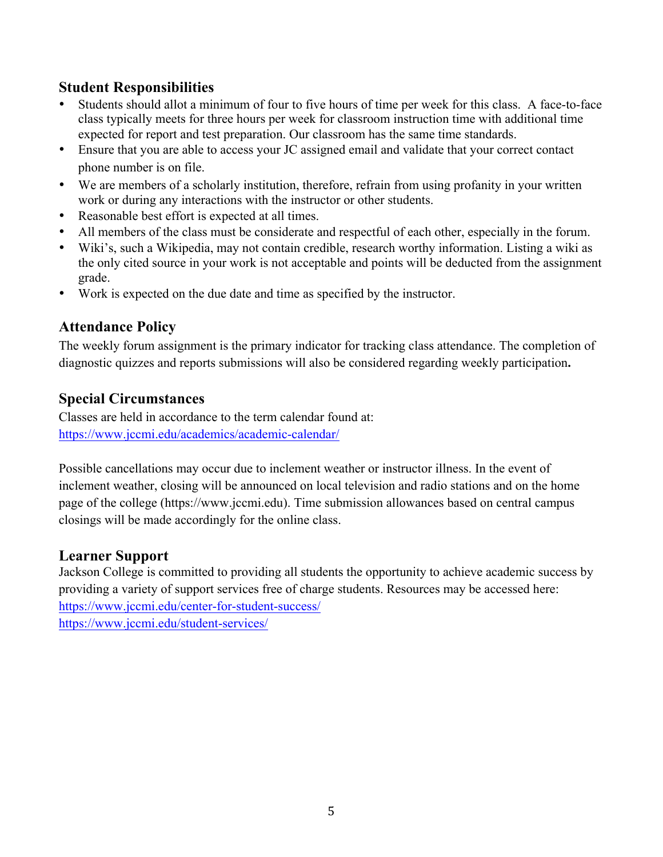## **Student Responsibilities**

- Students should allot a minimum of four to five hours of time per week for this class. A face-to-face class typically meets for three hours per week for classroom instruction time with additional time expected for report and test preparation. Our classroom has the same time standards.
- Ensure that you are able to access your JC assigned email and validate that your correct contact phone number is on file.
- We are members of a scholarly institution, therefore, refrain from using profanity in your written work or during any interactions with the instructor or other students.
- Reasonable best effort is expected at all times.
- All members of the class must be considerate and respectful of each other, especially in the forum.
- Wiki's, such a Wikipedia, may not contain credible, research worthy information. Listing a wiki as the only cited source in your work is not acceptable and points will be deducted from the assignment grade.
- Work is expected on the due date and time as specified by the instructor.

## **Attendance Policy**

The weekly forum assignment is the primary indicator for tracking class attendance. The completion of diagnostic quizzes and reports submissions will also be considered regarding weekly participation**.**

## **Special Circumstances**

Classes are held in accordance to the term calendar found at: https://www.jccmi.edu/academics/academic-calendar/

Possible cancellations may occur due to inclement weather or instructor illness. In the event of inclement weather, closing will be announced on local television and radio stations and on the home page of the college (https://www.jccmi.edu). Time submission allowances based on central campus closings will be made accordingly for the online class.

## **Learner Support**

Jackson College is committed to providing all students the opportunity to achieve academic success by providing a variety of support services free of charge students. Resources may be accessed here: https://www.jccmi.edu/center-for-student-success/ https://www.jccmi.edu/student-services/